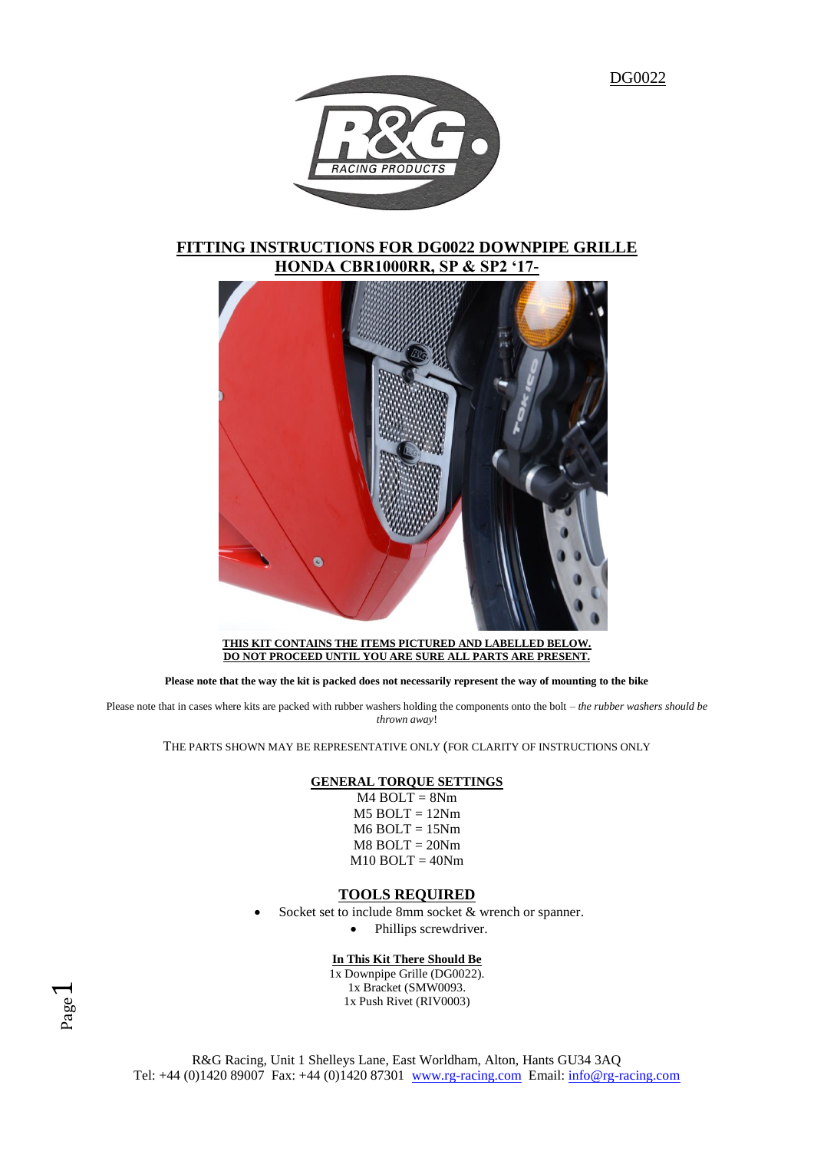

# **FITTING INSTRUCTIONS FOR DG0022 DOWNPIPE GRILLE HONDA CBR1000RR, SP & SP2 '17-**



**THIS KIT CONTAINS THE ITEMS PICTURED AND LABELLED BELOW. DO NOT PROCEED UNTIL YOU ARE SURE ALL PARTS ARE PRESENT.**

**Please note that the way the kit is packed does not necessarily represent the way of mounting to the bike**

Please note that in cases where kits are packed with rubber washers holding the components onto the bolt – *the rubber washers should be thrown away*!

THE PARTS SHOWN MAY BE REPRESENTATIVE ONLY (FOR CLARITY OF INSTRUCTIONS ONLY

### **GENERAL TORQUE SETTINGS**

M4 BOLT = 8Nm  $M5$  BOLT = 12Nm  $M6$  BOLT = 15Nm M8 BOLT = 20Nm  $M10$  BOLT = 40Nm

## **TOOLS REQUIRED**

Socket set to include 8mm socket & wrench or spanner.

• Phillips screwdriver.

## **In This Kit There Should Be**

1x Downpipe Grille (DG0022). 1x Bracket (SMW0093. 1x Push Rivet (RIV0003)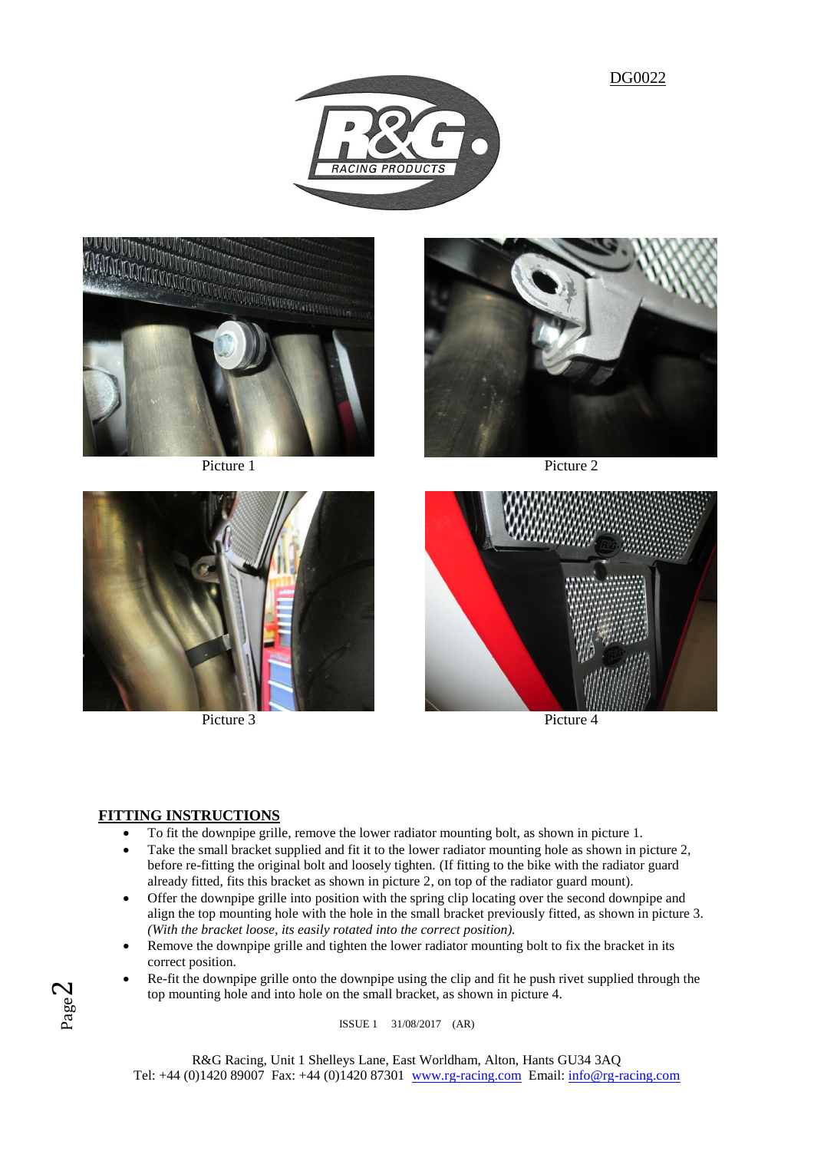











Picture 3 Picture 4

# **FITTING INSTRUCTIONS**

- To fit the downpipe grille, remove the lower radiator mounting bolt, as shown in picture 1.
- Take the small bracket supplied and fit it to the lower radiator mounting hole as shown in picture 2, before re-fitting the original bolt and loosely tighten. (If fitting to the bike with the radiator guard already fitted, fits this bracket as shown in picture 2, on top of the radiator guard mount).
- Offer the downpipe grille into position with the spring clip locating over the second downpipe and align the top mounting hole with the hole in the small bracket previously fitted, as shown in picture 3. *(With the bracket loose, its easily rotated into the correct position).*
- Remove the downpipe grille and tighten the lower radiator mounting bolt to fix the bracket in its correct position.
- Re-fit the downpipe grille onto the downpipe using the clip and fit he push rivet supplied through the top mounting hole and into hole on the small bracket, as shown in picture 4.

ISSUE 1 31/08/2017 (AR)

R&G Racing, Unit 1 Shelleys Lane, East Worldham, Alton, Hants GU34 3AQ Tel: +44 (0)1420 89007 Fax: +44 (0)1420 87301 [www.rg-racing.com](http://www.rg-racing.com/) Email: [info@rg-racing.com](mailto:info@rg-racing.com)

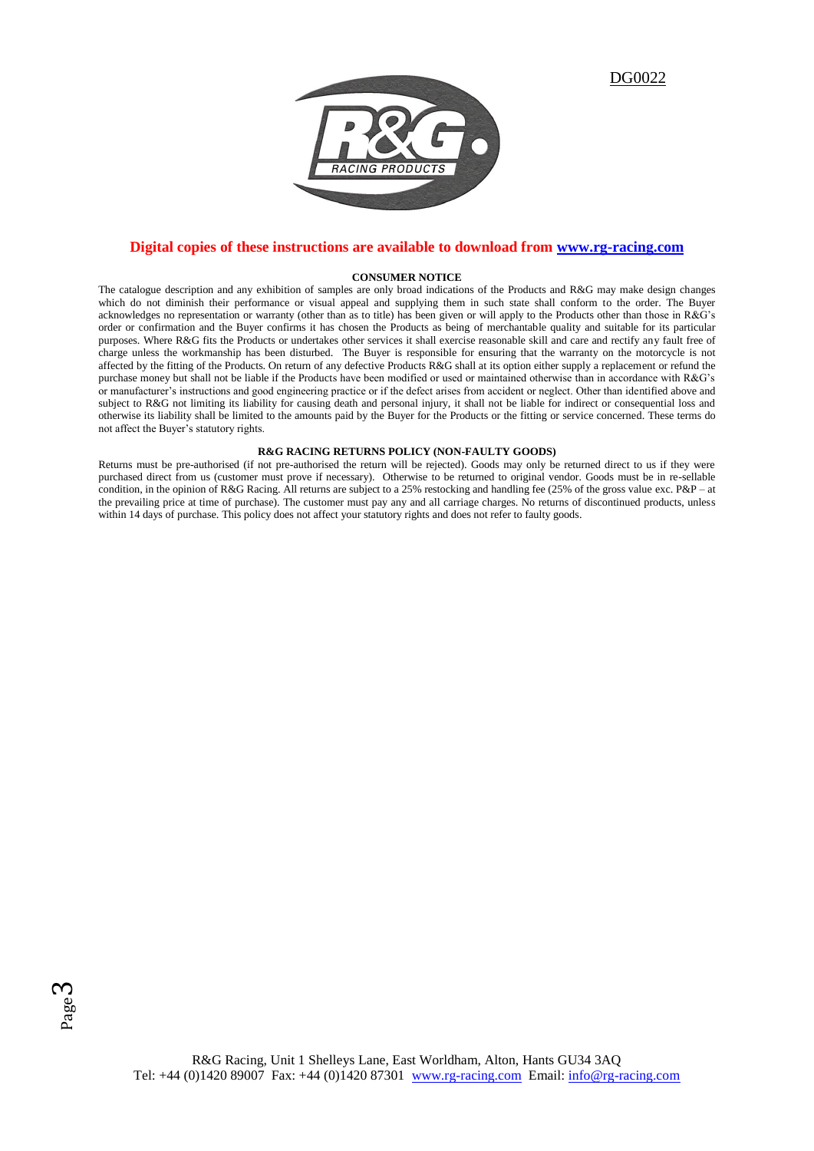

## **Digital copies of these instructions are available to download from [www.rg-racing.com](http://www.rg-racing.com/)**

#### **CONSUMER NOTICE**

The catalogue description and any exhibition of samples are only broad indications of the Products and R&G may make design changes which do not diminish their performance or visual appeal and supplying them in such state shall conform to the order. The Buyer acknowledges no representation or warranty (other than as to title) has been given or will apply to the Products other than those in R&G's order or confirmation and the Buyer confirms it has chosen the Products as being of merchantable quality and suitable for its particular purposes. Where R&G fits the Products or undertakes other services it shall exercise reasonable skill and care and rectify any fault free of charge unless the workmanship has been disturbed. The Buyer is responsible for ensuring that the warranty on the motorcycle is not affected by the fitting of the Products. On return of any defective Products R&G shall at its option either supply a replacement or refund the purchase money but shall not be liable if the Products have been modified or used or maintained otherwise than in accordance with R&G's or manufacturer's instructions and good engineering practice or if the defect arises from accident or neglect. Other than identified above and subject to R&G not limiting its liability for causing death and personal injury, it shall not be liable for indirect or consequential loss and otherwise its liability shall be limited to the amounts paid by the Buyer for the Products or the fitting or service concerned. These terms do not affect the Buyer's statutory rights.

#### **R&G RACING RETURNS POLICY (NON-FAULTY GOODS)**

Returns must be pre-authorised (if not pre-authorised the return will be rejected). Goods may only be returned direct to us if they were purchased direct from us (customer must prove if necessary). Otherwise to be returned to original vendor. Goods must be in re-sellable condition, in the opinion of R&G Racing. All returns are subject to a 25% restocking and handling fee (25% of the gross value exc. P&P – at the prevailing price at time of purchase). The customer must pay any and all carriage charges. No returns of discontinued products, unless within 14 days of purchase. This policy does not affect your statutory rights and does not refer to faulty goods.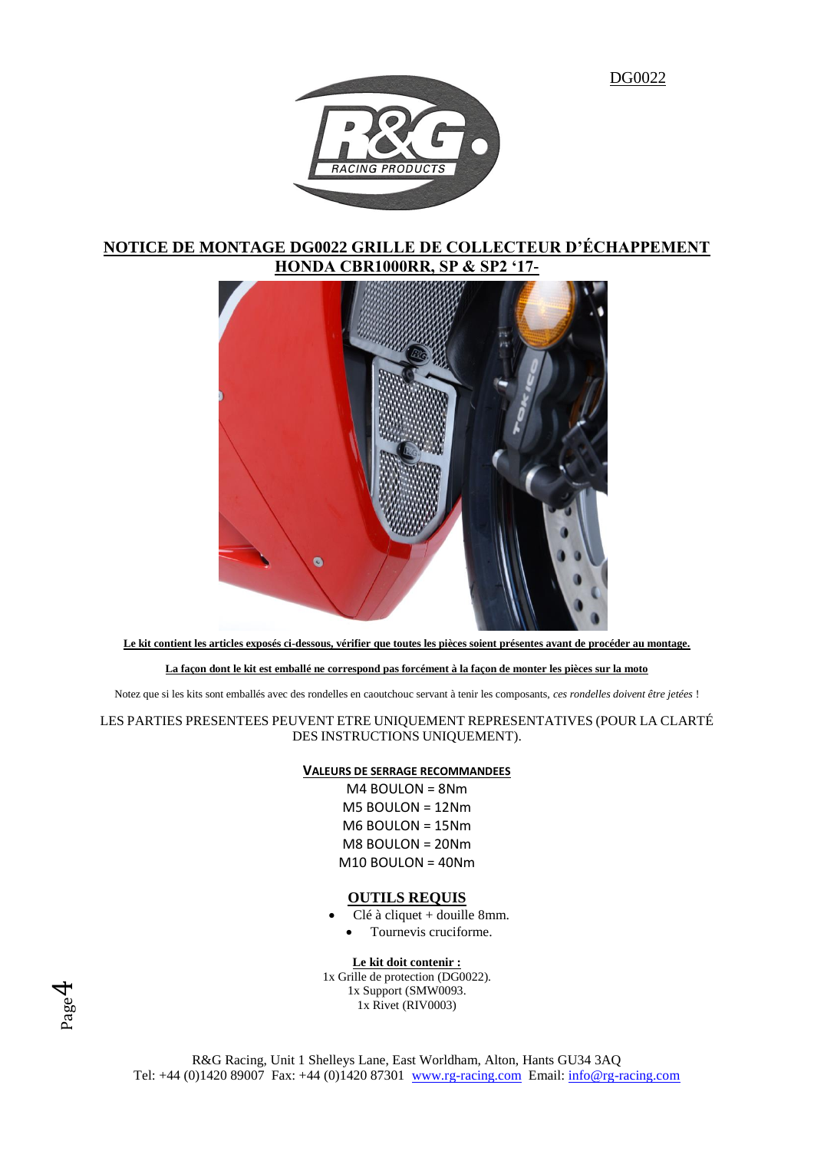

# **NOTICE DE MONTAGE DG0022 GRILLE DE COLLECTEUR D'ÉCHAPPEMENT HONDA CBR1000RR, SP & SP2 '17-**



**Le kit contient les articles exposés ci-dessous, vérifier que toutes les pièces soient présentes avant de procéder au montage.**

### **La façon dont le kit est emballé ne correspond pas forcément à la façon de monter les pièces sur la moto**

Notez que si les kits sont emballés avec des rondelles en caoutchouc servant à tenir les composants, *ces rondelles doivent être jetées* !

LES PARTIES PRESENTEES PEUVENT ETRE UNIQUEMENT REPRESENTATIVES (POUR LA CLARTÉ DES INSTRUCTIONS UNIQUEMENT).

## **VALEURS DE SERRAGE RECOMMANDEES**

M4 BOULON = 8Nm M5 BOULON = 12Nm M6 BOULON = 15Nm M8 BOULON = 20Nm M10 BOULON = 40Nm

### **OUTILS REQUIS**

- Clé à cliquet + douille 8mm.
	- Tournevis cruciforme.

### **Le kit doit contenir :**

1x Grille de protection (DG0022). 1x Support (SMW0093. 1x Rivet (RIV0003)

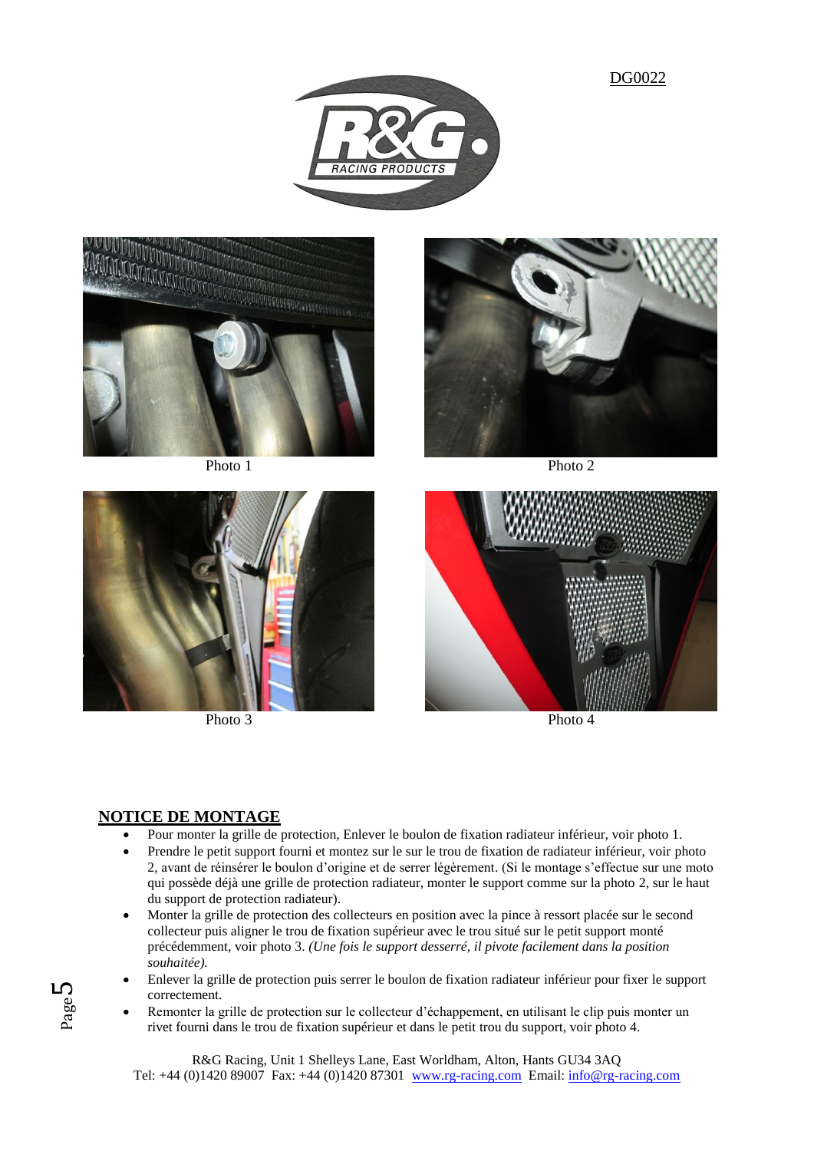











Photo 3 Photo 4

# **NOTICE DE MONTAGE**

- Pour monter la grille de protection, Enlever le boulon de fixation radiateur inférieur, voir photo 1.
- Prendre le petit support fourni et montez sur le sur le trou de fixation de radiateur inférieur, voir photo 2, avant de réinsérer le boulon d'origine et de serrer légèrement. (Si le montage s'effectue sur une moto qui possède déjà une grille de protection radiateur, monter le support comme sur la photo 2, sur le haut du support de protection radiateur).
- Monter la grille de protection des collecteurs en position avec la pince à ressort placée sur le second collecteur puis aligner le trou de fixation supérieur avec le trou situé sur le petit support monté précédemment, voir photo 3. *(Une fois le support desserré, il pivote facilement dans la position souhaitée).*
- Enlever la grille de protection puis serrer le boulon de fixation radiateur inférieur pour fixer le support correctement.
- Remonter la grille de protection sur le collecteur d'échappement, en utilisant le clip puis monter un rivet fourni dans le trou de fixation supérieur et dans le petit trou du support, voir photo 4.

R&G Racing, Unit 1 Shelleys Lane, East Worldham, Alton, Hants GU34 3AQ Tel: +44 (0)1420 89007 Fax: +44 (0)1420 87301 [www.rg-racing.com](http://www.rg-racing.com/) Email: [info@rg-racing.com](mailto:info@rg-racing.com)